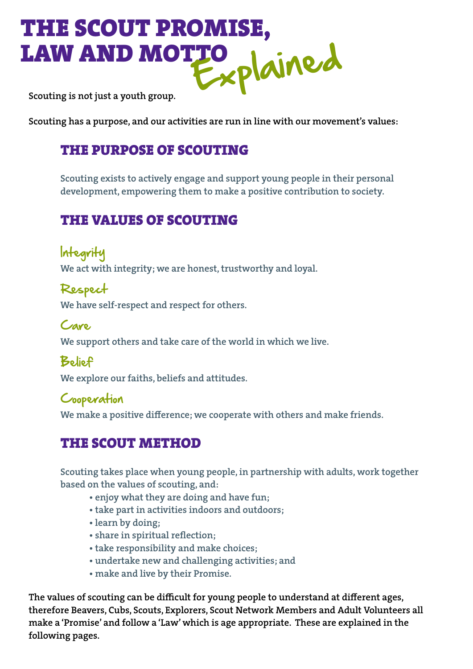# THE SCOUT PROMISE, LAW AND MOTTO Scouting is not just a youth group.

Scouting has a purpose, and our activities are run in line with our movement's values:

### THE PURPOSE OF SCOUTING

Scouting exists to actively engage and support young people in their personal development, empowering them to make a positive contribution to society.

# THE VALUES OF SCOUTING

Integrity We act with integrity; we are honest, trustworthy and loyal.

Respect We have self-respect and respect for others.

Care We support others and take care of the world in which we live.

Belief

We explore our faiths, beliefs and attitudes.

#### Cooperation

We make a positive difference; we cooperate with others and make friends.

## THE SCOUT METHOD

Scouting takes place when young people, in partnership with adults, work together based on the values of scouting, and:

- enjoy what they are doing and have fun;
- take part in activities indoors and outdoors;
- learn by doing;
- share in spiritual reflection;
- take responsibility and make choices;
- undertake new and challenging activities; and
- make and live by their Promise.

The values of scouting can be difficult for young people to understand at different ages, therefore Beavers, Cubs, Scouts, Explorers, Scout Network Members and Adult Volunteers all make a 'Promise' and follow a 'Law' which is age appropriate. These are explained in the following pages.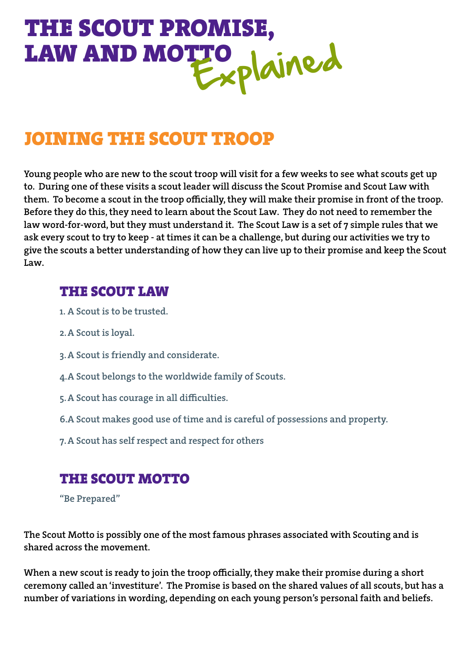# THE SCOUT PROMISE, LAW AND MOTTO Jained

# JOINING THE SCOUT TROOP

Young people who are new to the scout troop will visit for a few weeks to see what scouts get up to. During one of these visits a scout leader will discuss the Scout Promise and Scout Law with them. To become a scout in the troop officially, they will make their promise in front of the troop. Before they do this, they need to learn about the Scout Law. They do not need to remember the law word-for-word, but they must understand it. The Scout Law is a set of 7 simple rules that we ask every scout to try to keep - at times it can be a challenge, but during our activities we try to give the scouts a better understanding of how they can live up to their promise and keep the Scout Law.

#### THE SCOUT LAW

- 1. A Scout is to be trusted.
- 2.A Scout is loyal.
- 3.A Scout is friendly and considerate.
- 4.A Scout belongs to the worldwide family of Scouts.
- 5.A Scout has courage in all difficulties.
- 6.A Scout makes good use of time and is careful of possessions and property.
- 7.A Scout has self respect and respect for others

#### THE SCOUT MOTTO

"Be Prepared"

The Scout Motto is possibly one of the most famous phrases associated with Scouting and is shared across the movement.

When a new scout is ready to join the troop officially, they make their promise during a short ceremony called an 'investiture'. The Promise is based on the shared values of all scouts, but has a number of variations in wording, depending on each young person's personal faith and beliefs.